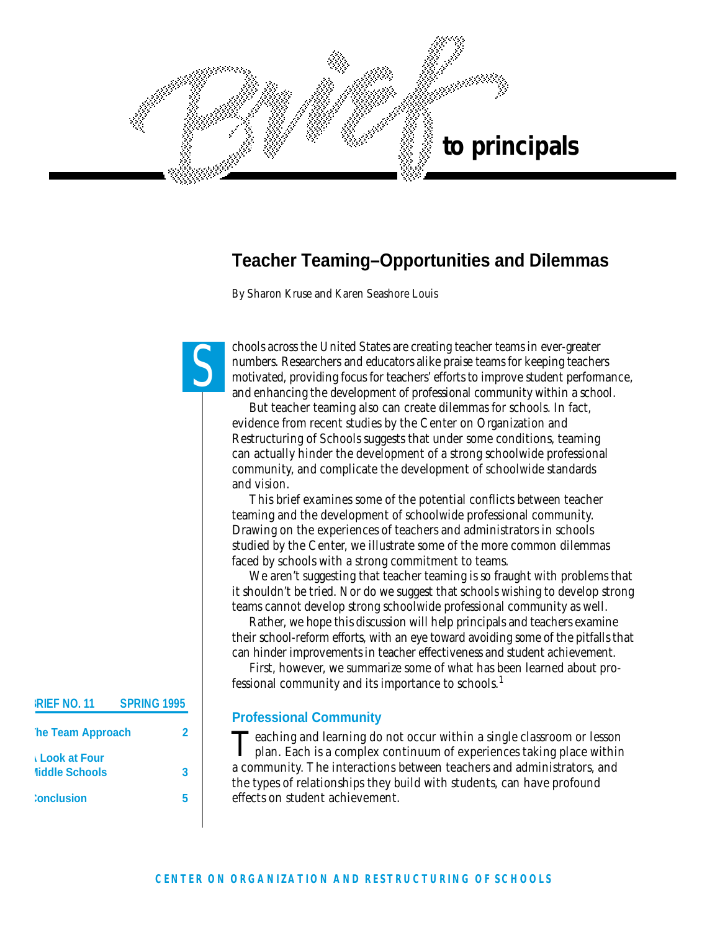

# **Teacher Teaming–Opportunities and Dilemmas**

*By Sharon Kruse and Karen Seashore Louis*

S

chools across the United States are creating teacher teams in ever-greater numbers. Researchers and educators alike praise teams for keeping teachers motivated, providing focus for teachers' efforts to improve student performance, and enhancing the development of professional community within a school.

But teacher teaming also can create dilemmas for schools. In fact, evidence from recent studies by the Center on Organization and Restructuring of Schools suggests that under some conditions, teaming can actually hinder the development of a strong schoolwide professional community, and complicate the development of schoolwide standards and vision.

This brief examines some of the potential conflicts between teacher teaming and the development of schoolwide professional community. Drawing on the experiences of teachers and administrators in schools studied by the Center, we illustrate some of the more common dilemmas faced by schools with a strong commitment to teams.

We aren't suggesting that teacher teaming is so fraught with problems that it shouldn't be tried. Nor do we suggest that schools wishing to develop strong teams cannot develop strong schoolwide professional community as well.

Rather, we hope this discussion will help principals and teachers examine their school-reform efforts, with an eye toward avoiding some of the pitfalls that can hinder improvements in teacher effectiveness and student achievement.

First, however, we summarize some of what has been learned about professional community and its importance to schools.<sup>1</sup>

#### **Professional Community**

Teaching and learning do not occur within a single classroom or lesson plan. Each is a complex continuum of experiences taking place within **Teaching and learning do not occur within a single classroom or lesson** a community. The interactions between teachers and administrators, and the types of relationships they build with students, can have profound e ffects on student achievement.

# **BRIEF NO. 11 SPRING 1995 The Team Approach 2 A Look at Four Middle Schools 3 Conclusion 5**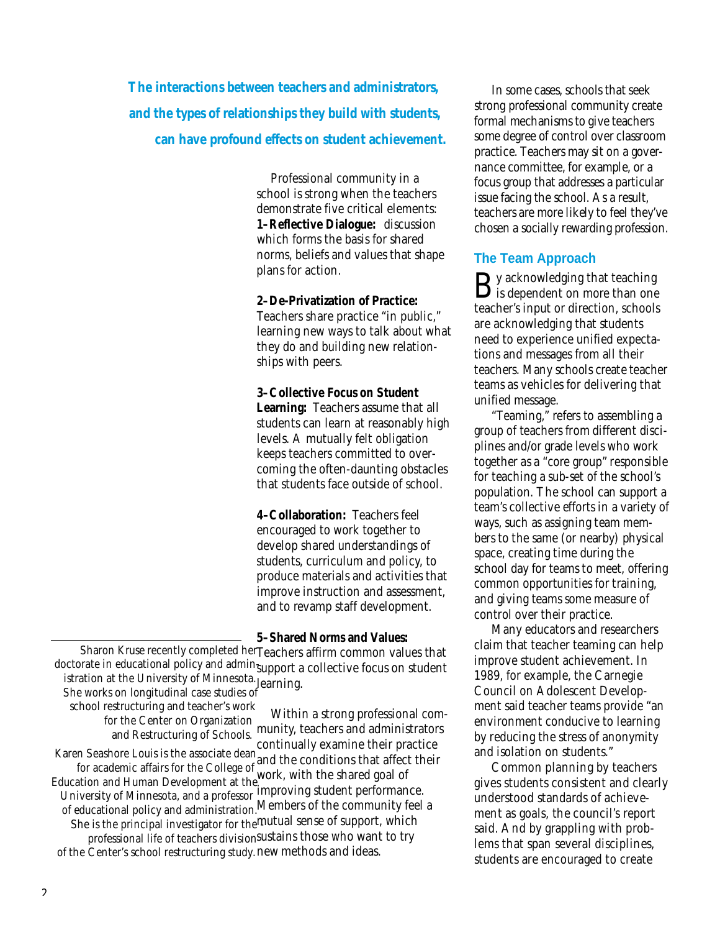*The interactions between teachers and administrators, and the types of relationships they build with students, can have profound effects on student achievement.*

> Professional community in a school is strong when the teachers demonstrate five critical elements: **1–Reflective Dialogue:** discussion which forms the basis for shared norms, beliefs and values that shape plans for action.

**2–De-Privatization of Practice:** Teachers share practice "in public," learning new ways to talk about what they do and building new relationships with peers.

**3–Collective Focus on Student Learning:** Teachers assume that all students can learn at reasonably high levels. A mutually felt obligation keeps teachers committed to overcoming the often-daunting obstacles that students face outside of school.

**4–Collaboration:** Teachers feel encouraged to work together to develop shared understandings of students, curriculum and policy, to produce materials and activities that improve instruction and assessment, and to revamp staff development.

**5–Shared Norms and Values:** Sharon Kruse recently completed herTeachers affirm common values that doctorate in educational policy and admin<sub>support</sub> a collective focus on student istration at the University of Minnesota. learning. *She works on longitudinal case studies of*

*school restructuring and teacher's work for the Center on Organization and Restructuring of Schools.*

Within a strong professional community, teachers and administrators

continually examine their practice and the conditions that affect their *Karen Seashore Louis is the associate dean* for academic affairs for the College of the College of the College of the Shared goal of improving student performance. *University of Minnesota, and a professor* Members of the community feel a *of educational policy and administration.* She is the principal investigator for the mutual sense of support, which professional life of teachers division<sup>sustains</sup> those who want to try of the Center's school restructuring study. new methods and ideas. *Education and Human Development at the*

In some cases, schools that seek strong professional community create formal mechanisms to give teachers some degree of control over classroom practice. Teachers may sit on a governance committee, for example, or a focus group that addresses a particular issue facing the school. As a result, teachers are more likely to feel they've chosen a socially rewarding profession.

#### **The Team Approach**

 $\mathbf{B}$  y acknowledging that teaching<br>is dependent on more than one is dependent on more than one teacher's input or direction, schools are acknowledging that students need to experience unified expectations and messages from all their teachers. Many schools create teacher teams as vehicles for delivering that unified message.

" Teaming," refers to assembling a group of teachers from different disciplines and/or grade levels who work together as a "core group" responsible for teaching a sub-set of the school's population. The school can support a team's collective efforts in a variety of ways, such as assigning team members to the same (or nearby) physical space, creating time during the school day for teams to meet, offering common opportunities for training, and giving teams some measure of control over their practice.

Many educators and researchers claim that teacher teaming can help improve student achievement. In 1989, for example, the Carnegie Council on Adolescent Development said teacher teams provide "an environment conducive to learning by reducing the stress of anonymity and isolation on students."

Common planning by teachers gives students consistent and clearly understood standards of achievement as goals, the council's report said. And by grappling with problems that span several disciplines, students are encouraged to create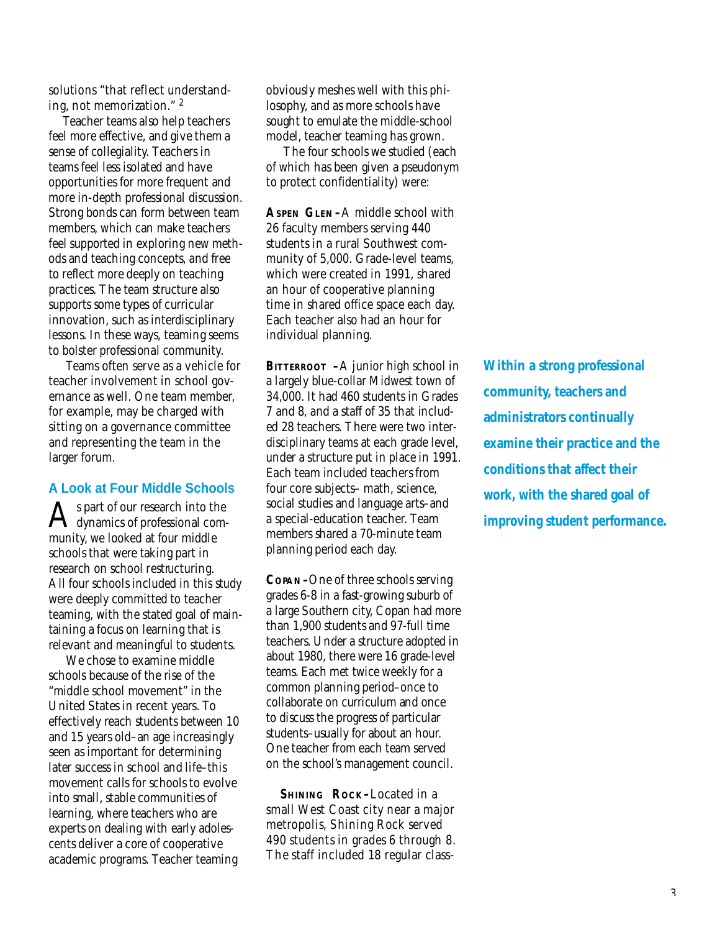solutions "that reflect understanding, not memorization." <sup>2</sup>

Teacher teams also help teachers feel more effective, and give them a sense of collegiality. Teachers in teams feel less isolated and have opportunities for more frequent and more in-depth professional discussion. Strong bonds can form between team members, which can make teachers feel supported in exploring new methods and teaching concepts, and free to reflect more deeply on teaching practices. The team structure also supports some types of curricular innovation, such as interdisciplinary lessons. In these ways, teaming seems to bolster professional community.

Teams often serve as a vehicle for teacher involvement in school governance as well. One team member, for example, may be charged with sitting on a governance committee and representing the team in the larger forum.

#### **A Look at Four Middle Schools**

 ${\displaystyle \bigwedge^{s}}$  part of our research into the<br>dynamics of professional coms part of our research into the munity, we looked at four middle schools that were taking part in re search on school restructuring. All four schools included in this study were deeply committed to teacher teaming, with the stated goal of maintaining a focus on learning that is relevant and meaningful to students.

We chose to examine middle schools because of the rise of the "middle school movement" in the United States in recent years. To effectively reach students between 10 and 15 years old-an age increasingly seen as important for determining later success in school and life–this movement calls for schools to evolve into small, stable communities of learning, where teachers who are experts on dealing with early adolescents deliver a core of cooperative academic programs. Teacher teaming

obviously meshes well with this philosophy, and as more schools have sought to emulate the middle-school model, teacher teaming has grown.

The four schools we studied (each of which has been given a pseudonym to protect confidentiality) were :

**ASPEN GLEN –**A middle school with 26 faculty members serving 440 students in a rural Southwest community of 5,000. Grade-level teams, which were created in 1991, shared an hour of cooperative planning time in shared office space each day. Each teacher also had an hour for individual planning.

**BITTERROOT** – A junior high school in a largely blue-collar Midwest town of 34,000. It had 460 students in Grades 7 and 8, and a staff of 35 that included 28 teachers. There were two interdisciplinary teams at each grade level, under a structure put in place in 1991. Each team included teachers from four core subjects– math, science, social studies and language arts-and a special-education teacher. Team members shared a 70-minute team planning period each day.

COPAN-One of three schools serving grades 6-8 in a fast-growing suburb of a large Southern city, Copan had more than 1,900 students and 97-full time teachers. Under a structure adopted in about 1980, there were 16 grade-level teams. Each met twice weekly for a common planning period–once to collaborate on curriculum and once to discuss the progress of particular students-usually for about an hour. One teacher from each team served on the school's management council.

**SHINING** ROCK-Located in a small West Coast city near a major metropolis, Shining Rock served 490 students in grades 6 through 8. The staff included 18 regular class*Within a strong professional community, teachers and administrators continually examine their practice and the conditions that affect their work, with the shared goal of improving student performance.*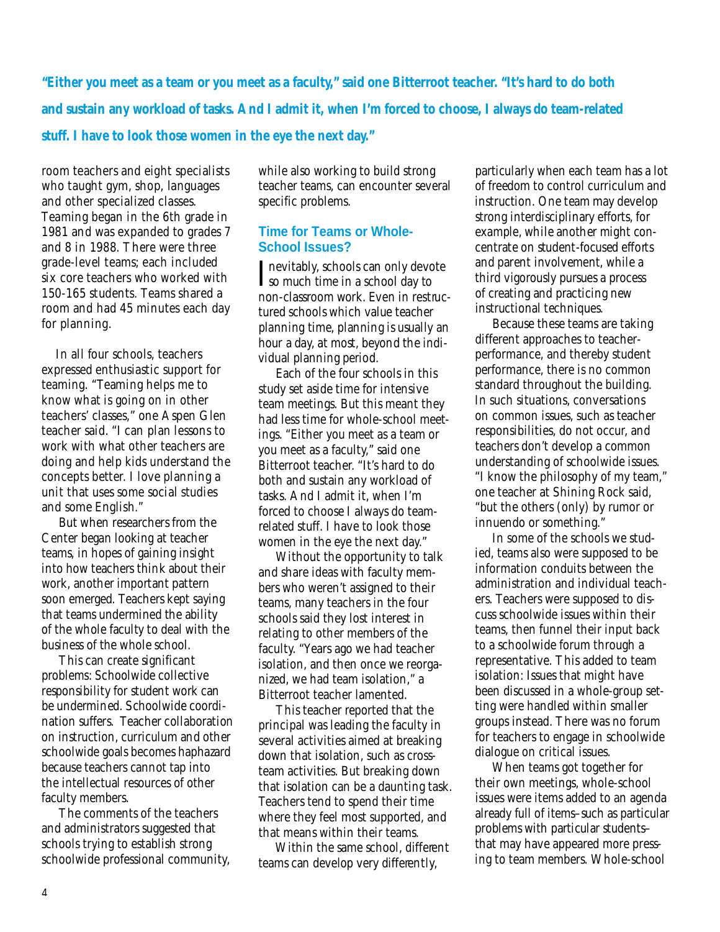*"Either you meet as a team or you meet as a faculty," said one Bitterroot teacher. "It's hard to do both and sustain any workload of tasks. And I admit it, when I'm forced to choose, I always do team-related stuff. I have to look those women in the eye the next day."* 

room teachers and eight specialists who taught gym, shop, languages and other specialized classes. Teaming began in the 6th grade in 1981 and was expanded to grades 7 and 8 in 1988. There were three grade-level teams; each included six core teachers who worked with 150-165 students. Teams shared a room and had 45 minutes each day for planning.

In all four schools, teachers expressed enthusiastic support for teaming. "Teaming helps me to know what is going on in other teachers' classes," one Aspen Glen teacher said. "I can plan lessons to work with what other teachers are doing and help kids understand the concepts better. I love planning a unit that uses some social studies and some English."

But when researchers from the Center began looking at teacher teams, in hopes of gaining insight into how teachers think about their work, another important pattern soon emerged. Teachers kept saying that teams undermined the ability of the whole faculty to deal with the business of the whole school.

This can create significant problems: Schoolwide collective responsibility for student work can be undermined. Schoolwide coordination suffers. Teacher collaboration on instruction, curriculum and other schoolwide goals becomes haphazard because teachers cannot tap into the intellectual resources of other faculty members.

The comments of the teachers and administrators suggested that schools trying to establish strong schoolwide professional community, while also working to build strong teacher teams, can encounter several specific problems.

#### **Time for Teams or Whole-School Issues?**

Inevitably, schools can only devote<br>Iso much time in a school day to so much time in a school day to non-classroom work. Even in restructured schools which value teacher planning time, planning is usually an hour a day, at most, beyond the individual planning period.

Each of the four schools in this study set aside time for intensive team meetings. But this meant they had less time for whole-school meetings. "Either you meet as a team or you meet as a faculty," said one Bitterroot teacher. "It's hard to do both and sustain any workload of tasks. And I admit it, when I'm forced to choose I always do teamrelated stuff. I have to look those women in the eye the next day."

Without the opportunity to talk and share ideas with faculty members who weren't assigned to their teams, many teachers in the four schools said they lost interest in relating to other members of the faculty. "Years ago we had teacher isolation, and then once we reorganized, we had team isolation," a Bitterroot teacher lamented.

This teacher reported that the principal was leading the faculty in several activities aimed at breaking down that isolation, such as crossteam activities. But breaking down that isolation can be a daunting task. Teachers tend to spend their time where they feel most supported, and that means within their teams.

Within the same school, different teams can develop very differently,

particularly when each team has a lot of freedom to control curriculum and instruction. One team may develop strong interdisciplinary efforts, for example, while another might concentrate on student-focused efforts and parent involvement, while a third vigorously pursues a process of creating and practicing new instructional techniques.

Because these teams are taking different approaches to teacherperformance, and thereby student performance, there is no common standard throughout the building. In such situations, conversations on common issues, such as teacher responsibilities, do not occur, and teachers don't develop a common understanding of schoolwide issues. "I know the philosophy of my team," one teacher at Shining Rock said, "but the others (only) by rumor or innuendo or something."

In some of the schools we studied, teams also were supposed to be information conduits between the administration and individual teachers. Teachers were supposed to discuss schoolwide issues within their teams, then funnel their input back to a schoolwide forum through a representative. This added to team isolation: Issues that might have been discussed in a whole-group setting were handled within smaller groups instead. There was no forum for teachers to engage in schoolwide dialogue on critical issues.

When teams got together for their own meetings, whole-school issues were items added to an agenda already full of items-such as particular problems with particular studentsthat may have appeared more pressing to team members. Whole-school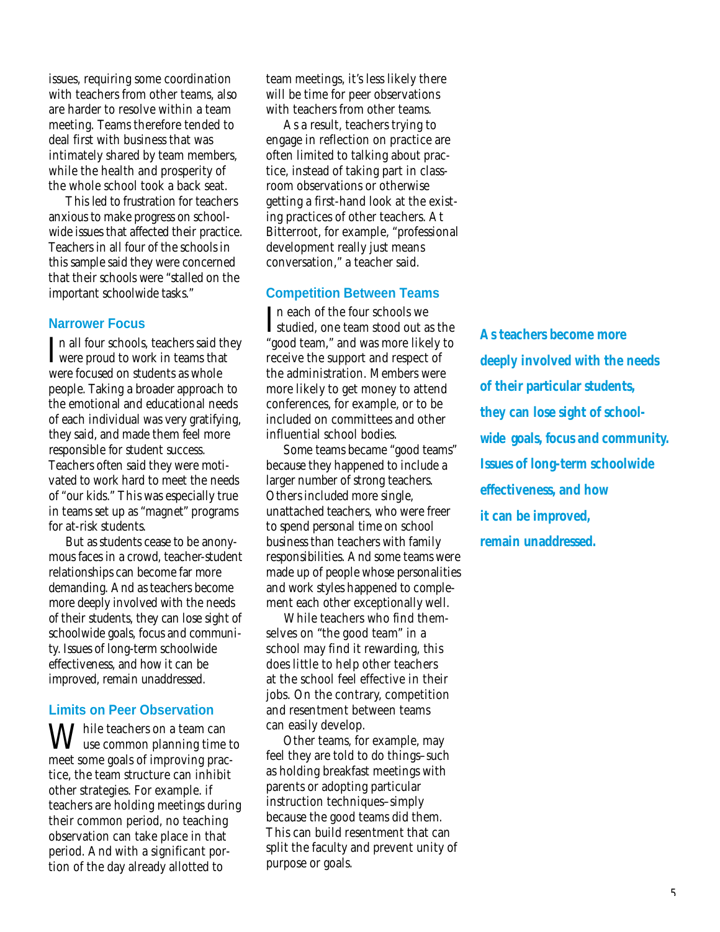issues, requiring some coordination with teachers from other teams, also are harder to resolve within a team meeting. Teams therefore tended to deal first with business that was intimately shared by team members, while the health and prosperity of the whole school took a back seat.

This led to frustration for teachers anxious to make progress on schoolwide issues that affected their practice. Teachers in all four of the schools in this sample said they were concerned that their schools were "stalled on the important schoolwide tasks."

#### **Narrower Focus**

In all four schools, teachers said they<br>were proud to work in teams that were proud to work in teams that were focused on students as whole people. Taking a broader approach to the emotional and educational needs of each individual was very gratifying, they said, and made them feel more responsible for student success. Teachers often said they were motivated to work hard to meet the needs of "our kids." This was especially true in teams set up as "magnet" programs for at-risk students.

But as students cease to be anonymous faces in a crowd, teacher-student relationships can become far more demanding. And as teachers become more deeply involved with the needs of their students, they can lose sight of schoolwide goals, focus and community. Issues of long-term schoolwide e ffectiveness, and how it can be improved, remain unaddressed.

#### **Limits on Peer Observation**

While teachers on a team can  $\sqrt{\ }$  use common planning time to meet some goals of improving practice, the team structure can inhibit other strategies. For example. if teachers are holding meetings during their common period, no teaching observation can take place in that period. And with a significant portion of the day already allotted to

team meetings, it's less likely there will be time for peer observations with teachers from other teams.

As a result, teachers trying to engage in reflection on practice are often limited to talking about practice, instead of taking part in classroom observations or otherwise getting a first-hand look at the existing practices of other teachers. At Bitterroot, for example, "professional development really just means conversation," a teacher said.

#### **Competition Between Teams**

In each of the four schools we<br>studied, one team stood out as the n each of the four schools we "good team," and was more likely to receive the support and respect of the administration. Members were more likely to get money to attend conferences, for example, or to be included on committees and other influential school bodies.

Some teams became "good teams" because they happened to include a larger number of strong teachers. Others included more single, unattached teachers, who were freer to spend personal time on school business than teachers with family responsibilities. And some teams were made up of people whose personalities and work styles happened to complement each other exceptionally well.

While teachers who find themselves on "the good team" in a school may find it rewarding, this does little to help other teachers at the school feel effective in their jobs. On the contrary, competition and resentment between teams can easily develop.

Other teams, for example, may feel they are told to do things–such as holding breakfast meetings with parents or adopting particular instruction techniques–simply because the good teams did them. This can build resentment that can split the faculty and prevent unity of purpose or goals.

*As teachers become more deeply involved with the needs of their particular students, they can lose sight of school*wide goals, focus and community. *Issues of long-term schoolwide effectiveness, and how it can be improved, remain unaddressed.*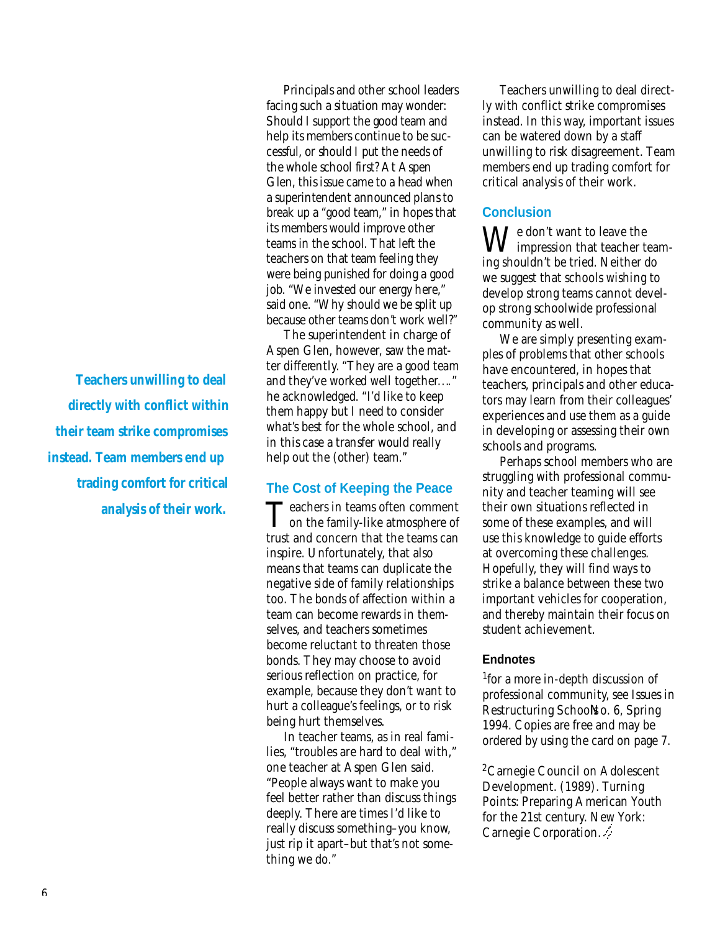*Teachers unwilling to deal directly with conflict within their team strike compromises instead. Team members end up trading comfort for critical analysis of their work.*

Principals and other school leaders facing such a situation may wonder: Should I support the good team and help its members continue to be successful, or should I put the needs of the whole school first? At Aspen Glen, this issue came to a head when a superintendent announced plans to break up a "good team," in hopes that its members would improve other teams in the school. That left the teachers on that team feeling they were being punished for doing a good job. "We invested our energy here," said one. "Why should we be split up because other teams don't work well?"

The superintendent in charge of Aspen Glen, however, saw the matter differently. "They are a good team and they've worked well together. . .. " he acknowledged. "I'd like to keep them happy but I need to consider what's best for the whole school, and in this case a transfer would really help out the (other) team."

#### **The Cost of Keeping the Peace**

Teachers in teams often comment<br>on the family-like atmosphere of  $\perp$  on the family-like atmosphere of trust and concern that the teams can inspire. Unfortunately, that also means that teams can duplicate the negative side of family relationships too. The bonds of affection within a team can become rewards in themselves, and teachers sometimes become reluctant to threaten those bonds. They may choose to avoid serious reflection on practice, for example, because they don't want to hurt a colleague's feelings, or to risk being hurt themselves.

In teacher teams, as in real families, "troubles are hard to deal with," one teacher at Aspen Glen said. "People always want to make you feel better rather than discuss things deeply. There are times I'd like to really discuss something–you know, just rip it apart–but that's not something we do."

Teachers unwilling to deal directly with conflict strike compromises instead. In this way, important issues can be watered down by a staff unwilling to risk disagreement. Team members end up trading comfort for critical analysis of their work.

### **Conclusion**

 $\mathbf{M}$  /e don't want to leave the impression that teacher teaming shouldn't be tried. Neither do we suggest that schools wishing to develop strong teams cannot develop strong schoolwide professional community as well.

We are simply presenting examples of problems that other schools have encountered, in hopes that teachers, principals and other educators may learn from their colleagues' experiences and use them as a guide in developing or assessing their own schools and programs.

Perhaps school members who are struggling with professional community and teacher teaming will see their own situations reflected in some of these examples, and will use this knowledge to guide efforts at overcoming these challenges. Hopefully, they will find ways to strike a balance between these two important vehicles for cooperation, and thereby maintain their focus on student achievement.

#### **Endnotes**

1 for a more in-depth discussion of professional community, see *Issues in* **Restructuring Schools o. 6, Spring** 1994. Copies are free and may be ordered by using the card on page 7.

<sup>2</sup>Carnegie Council on Adolescent Development. (1989). Turning Points: Preparing American Youth for the 21st century. New York: Carnegie Corporation.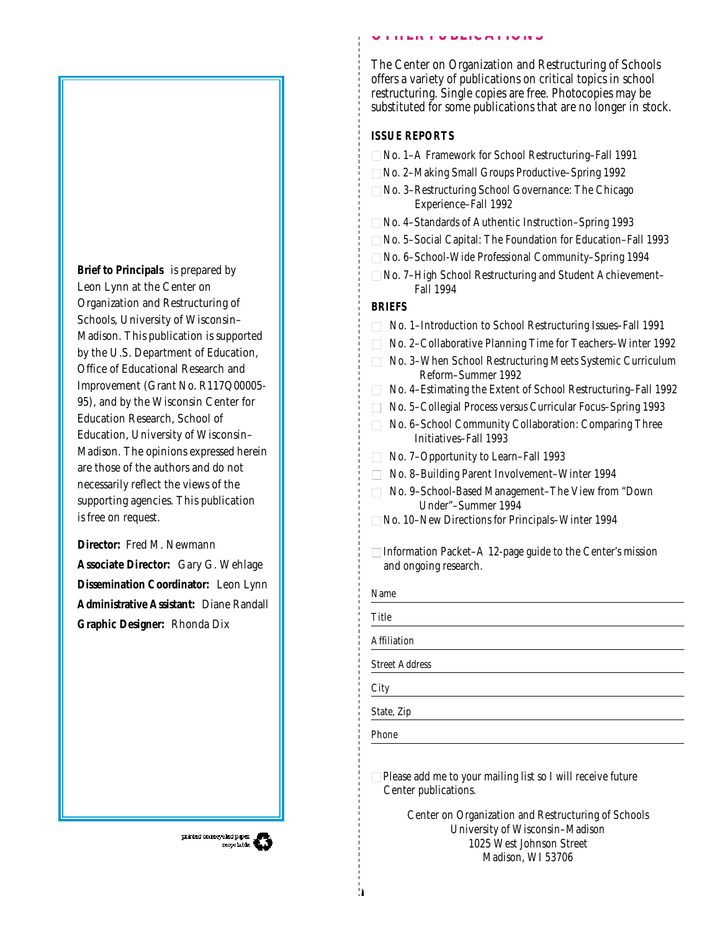The Center on Organization and Restructuring of Schools offers a variety of publications on critical topics in school restructuring. Single copies are free. Photocopies may be substituted for some publications that are no longer in stock.

#### **ISSUE REPORTS**

- □ No. 1–A Framework for School Restructuring–Fall 1991
- □ No. 2–Making Small Groups Productive–Spring 1992

**OTHER PUBLICATIONS**

- $\square$  No. 3–Restructuring School Governance: The Chicago Experience–Fall 1992
- □ No. 4-Standards of Authentic Instruction–Spring 1993
- □ No. 5-Social Capital: The Foundation for Education-Fall 1993
- □ No. 6-School-Wide Professional Community–Spring 1994
- $\square$  No. 7–High School Restructuring and Student Achievement– Fall 1994

## **BRIEFS**

- $\Box$  No. 1–Introduction to School Restructuring Issues–Fall 1991
- □ No. 2–Collaborative Planning Time for Teachers–Winter 1992
- □ No. 3-When School Restructuring Meets Systemic Curriculum Reform–Summer 1992
- $\Box$  No. 4–Estimating the Extent of School Restructuring–Fall 1992
- □ No. 5-Collegial Process versus Curricular Focus–Spring 1993
- □ No. 6–School Community Collaboration: Comparing Three Initiatives–Fall 1993
- $\Box$  No. 7–Opportunity to Learn–Fall 1993
- □ No. 8-Building Parent Involvement–Winter 1994
- □ No. 9-School-Based Management–The View from "Down Under"–Summer 1994
- □ No. 10–New Directions for Principals–Winter 1994
- $\Box$  Information Packet–A 12-page guide to the Center's mission and ongoing research.

| Name                  |
|-----------------------|
| Title                 |
| Affiliation           |
| <b>Street Address</b> |
| City                  |
| State, Zip            |
| Phone                 |
|                       |

 $\Box$  Please add me to your mailing list so I will receive future Center publications.

> Center on Organization and Restructuring of Schools University of Wisconsin–Madison 1025 West Johnson Street Madison, WI 53706

**Brief to Principals** is prepared by Leon Lynn at the Center on Organization and Restructuring of Schools, University of Wisconsin– Madison. This publication is supported by the U.S. Department of Education, Office of Educational Research and Improvement (Grant No. R117Q00005- 95), and by the Wisconsin Center for Education Research, School of Education, University of Wisconsin– Madison. The opinions expressed herein are those of the authors and do not necessarily reflect the views of the supporting agencies. This publication is free on request.

**Director:** Fred M. Newmann **Associate Director:** Gary G. Wehlage **Dissemination Coordinator:** Leon Lynn **Administrative Assistant:** Diane Randall **Graphic Designer:** Rhonda Dix

printed on necycle dp. parties of the second second second second second second second second second second second second second second second second second second second second second second second second second second se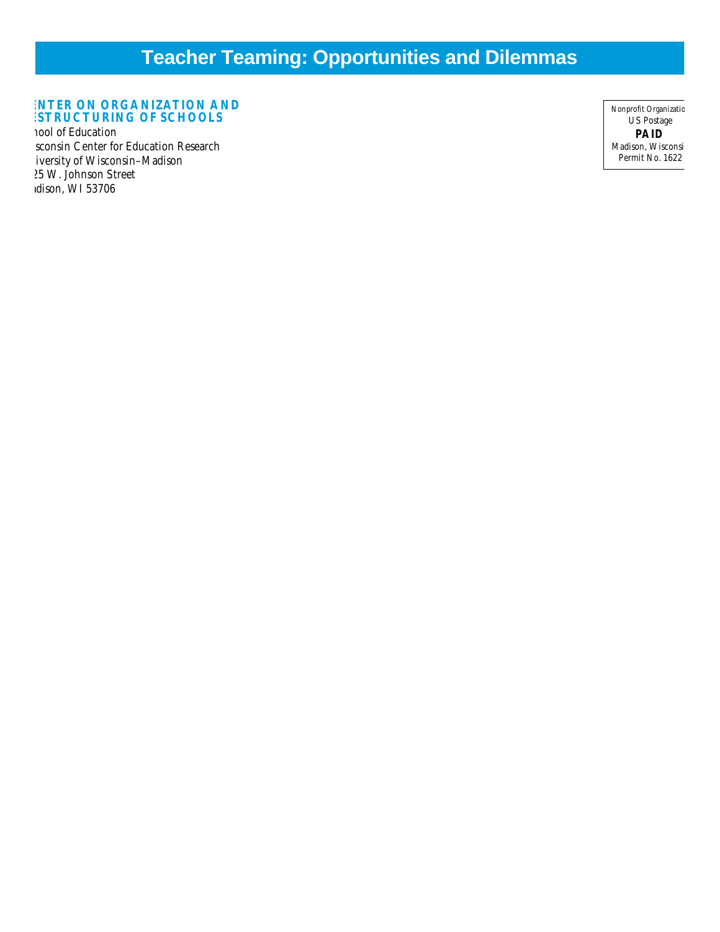# **Teacher Teaming: Opportunities and Dilemmas**

#### **ENTER ON ORGANIZATION AND ESTRUCTURING OF SCHOOLS**

nool of Education sconsin Center for Education Research iversity of Wisconsin-Madison 025 W. Johnson Street dison, WI 53706

Nonprofit Organizatic US Postage **PAID** Madison, Wisconsi Permit No. 1622